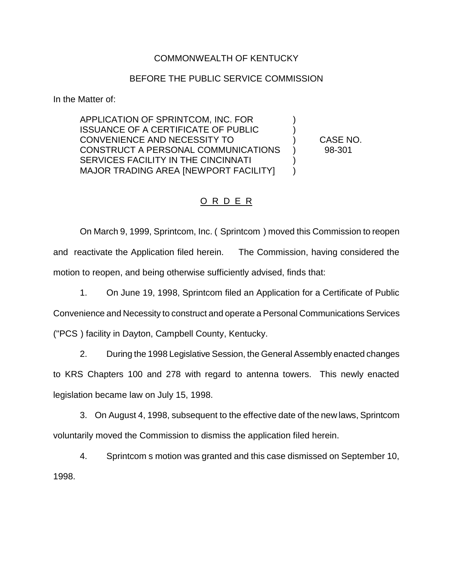## COMMONWEALTH OF KENTUCKY

## BEFORE THE PUBLIC SERVICE COMMISSION

In the Matter of:

APPLICATION OF SPRINTCOM, INC. FOR ) ISSUANCE OF A CERTIFICATE OF PUBLIC ) CONVENIENCE AND NECESSITY TO ) CASE NO. CONSTRUCT A PERSONAL COMMUNICATIONS ) 98-301 SERVICES FACILITY IN THE CINCINNATI MAJOR TRADING AREA [NEWPORT FACILITY] )

## O R D E R

On March 9, 1999, Sprintcom, Inc. ( Sprintcom ) moved this Commission to reopen and reactivate the Application filed herein. The Commission, having considered the motion to reopen, and being otherwise sufficiently advised, finds that:

1. On June 19, 1998, Sprintcom filed an Application for a Certificate of Public

Convenience and Necessity to construct and operate a Personal Communications Services

("PCS ) facility in Dayton, Campbell County, Kentucky.

2. During the 1998 Legislative Session, the General Assembly enacted changes to KRS Chapters 100 and 278 with regard to antenna towers. This newly enacted legislation became law on July 15, 1998.

3. On August 4, 1998, subsequent to the effective date of the new laws, Sprintcom voluntarily moved the Commission to dismiss the application filed herein.

4. Sprintcom s motion was granted and this case dismissed on September 10, 1998.